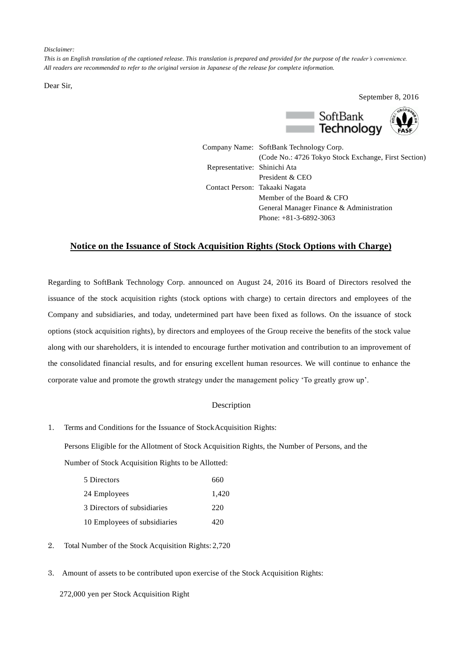*Disclaimer:*

*This is an English translation of the captioned release. This translation is prepared and provided for the purpose of the reader's convenience. All readers are recommended to refer to the original version in Japanese of the release for complete information.*

Dear Sir,

September 8, 2016



Company Name: SoftBank Technology Corp. (Code No.: 4726 Tokyo Stock Exchange, First Section) Representative: Shinichi Ata President & CEO Contact Person: Takaaki Nagata Member of the Board & CFO General Manager Finance & Administration Phone: +81-3-6892-3063

## **Notice on the Issuance of Stock Acquisition Rights (Stock Options with Charge)**

Regarding to SoftBank Technology Corp. announced on August 24, 2016 its Board of Directors resolved the issuance of the stock acquisition rights (stock options with charge) to certain directors and employees of the Company and subsidiaries, and today, undetermined part have been fixed as follows. On the issuance of stock options (stock acquisition rights), by directors and employees of the Group receive the benefits of the stock value along with our shareholders, it is intended to encourage further motivation and contribution to an improvement of the consolidated financial results, and for ensuring excellent human resources. We will continue to enhance the corporate value and promote the growth strategy under the management policy 'To greatly grow up'.

## Description

## 1. Terms and Conditions for the Issuance of StockAcquisition Rights:

Persons Eligible for the Allotment of Stock Acquisition Rights, the Number of Persons, and the Number of Stock Acquisition Rights to be Allotted:

| 5 Directors                  | 660   |
|------------------------------|-------|
| 24 Employees                 | 1,420 |
| 3 Directors of subsidiaries  | 220   |
| 10 Employees of subsidiaries | 420   |

- 2. Total Number of the Stock Acquisition Rights: 2,720
- 3. Amount of assets to be contributed upon exercise of the Stock Acquisition Rights:

272,000 yen per Stock Acquisition Right